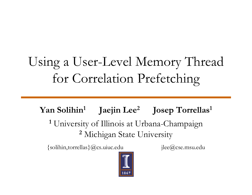# Using a User-Level Memory Thread for Correlation Prefetching

**Yan Solihin<sup>1</sup> Jaejin Lee<sup>2</sup> Josep Torrellas <sup>1</sup> Torrellas1 1** University of Illinois at Urbana-Champaign **2** Michigan State University

{solihin,torrellas}@cs.uiuc.edu jlee@cse.msu.edu



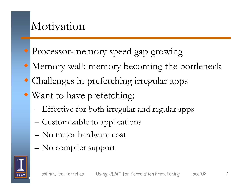## Motivation

- Processor-memory speed gap growing
- Memory wall: memory becoming the bottleneck
- Challenges in prefetching irregular apps
- Want to have prefetching:
	- – $-$  Effective for both irregular and regular apps
	- –Customizable to applications
	- –No major hardware cost
	- –No compiler support

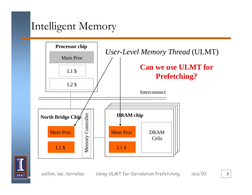### Intelligent Memory





solihin, lee, torrellas Using ULMT for Correlation Prefetching isca'02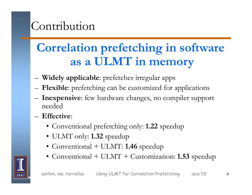## Contribution

#### **Correlation prefetching in software as <sup>a</sup> ULMT in memory**

- –**Widely applicable**: prefetches irregular apps
- **Flexible:** prefetching can be customized for appl **Flexible**: prefetching can be customized for applications
- – **Inexpensive**: few hardware changes, no compiler support needed
- **Effective**:
	- Conventional prefetching only: **1.22** speedup
	- ULMT only: **1.32** speedup
	- Conventional + ULMT: **1.46** speedup
	- Conventional + ULMT <sup>+</sup> Customization: **1.53** speedup

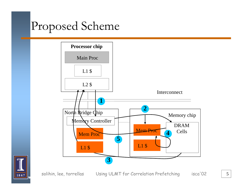## Proposed Scheme



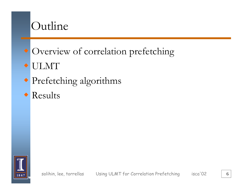

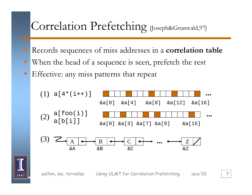## Correlation Prefetching [Joseph&Grunwald,97]

- Records sequences of miss addresses in a **correlation table**
- ♦ • When the head of a sequence is seen, prefetch the rest
- Effective: any miss patterns that repeat



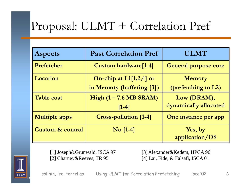# Proposal: ULMT + Correlation Pref

| <b>Aspects</b>              | <b>Past Correlation Pref</b>     | <b>ULMT</b>                 |  |
|-----------------------------|----------------------------------|-----------------------------|--|
| Prefetcher                  | <b>Custom hardware</b> [1-4]     | <b>General purpose core</b> |  |
| Location                    | On-chip at L1[1,2,4] or          | <b>Memory</b>               |  |
|                             | in Memory (buffering [3])        | (prefetching to L2)         |  |
| <b>Table cost</b>           | High $(1 - 7.6 \text{ MB SRAM})$ | Low (DRAM),                 |  |
|                             | $[1-4]$                          | dynamically allocated       |  |
| <b>Multiple apps</b>        | <b>Cross-pollution [1-4]</b>     | One instance per app        |  |
| <b>Custom &amp; control</b> | $\overline{N}$ o [1-4]           | Yes, by                     |  |
|                             |                                  | application/OS              |  |



[2] Charney&Reeves, TR 95

[1] Joseph&Grunwald, ISCA 97 [3] Alexander&Kedem, HPCA 96 [4] Lai, Fide, & Falsafi, ISCA 01

solihin, lee, torrellas Using ULMT for Correlation Prefetching isca'02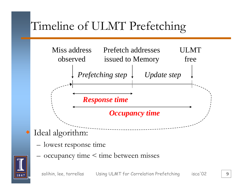# Timeline of ULMT Prefetching



- –lowest response time
- –- occupancy time < time between misses



♦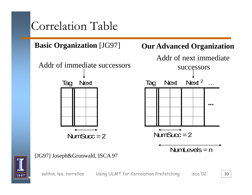## Correlation Table

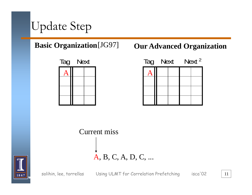



#### **Our Advanced Organization**



**Current miss** A, B, C, A, D, C, ...



solihin, lee, torrellas

Using ULMT for Correlation Prefetching

isca'02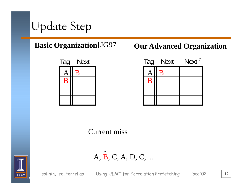



#### **Our Advanced Organization**



**Current miss** A, B, C, A, D, C, ...



solihin, lee, torrellas

Using ULMT for Correlation Prefetching

12

isca'02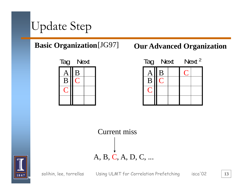



#### **Our Advanced Organization**







solihin, lee, torrellas

isca'02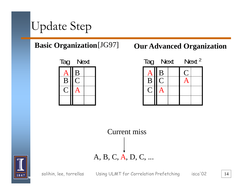



#### **Our Advanced Organization**







solihin, lee, torrellas

14

isca'02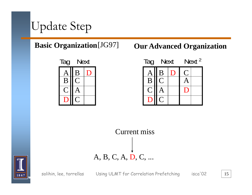



#### **Our Advanced Organization**







solihin, lee, torrellas

Using ULMT for Correlation Prefetching

15

isca<sup>'</sup>02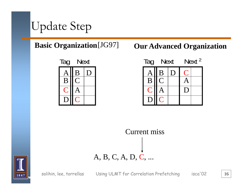



#### **Our Advanced Organization**







solihin, lee, torrellas

Using ULMT for Correlation Prefetching

16

isca<sup>'</sup>02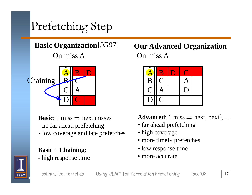## Prefetching Step

On miss A



**Basic**: 1 miss ⇒ next misses

- no far ahead prefetching
- low coverage and late prefetches high coverage

#### **Basic + Chaining**:

-- high response time

#### On miss A **Basic Organization**[JG97] **Our Advanced Organization**



**Advanced**: 1 miss  $\Rightarrow$  next, next<sup>2</sup>, ...

- far ahead prefetching
- 
- more timely prefetches
- low response time
- more accurate



solihin, lee, torrellas Using ULMT for Correlation Prefetching isca'02 17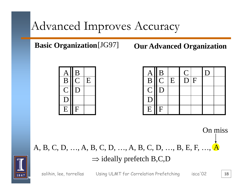## Advanced Improves Accuracy

**Basic Organization** [JG97]

**Our Advanced Organization** 



|                             |                 |   | $\overline{\mathsf{C}}$ |   | D |  |
|-----------------------------|-----------------|---|-------------------------|---|---|--|
| $\frac{\text{A}}{\text{B}}$ | $\frac{B}{C}$   | E | $\overline{D}$          | F |   |  |
|                             | $C \parallel D$ |   |                         |   |   |  |
| D                           |                 |   |                         |   |   |  |
| E                           | <sup>F</sup>    |   |                         |   |   |  |

On miss A, B, C, D, ..., A, B, C, D, ..., A, B, C, D, ..., B, E, F, ..., A  $\Rightarrow$  ideally prefetch B,C,D



solihin, lee, torrellas

Using ULMT for Correlation Prefetching isca'02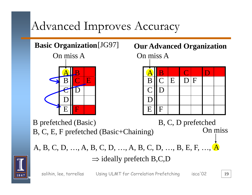## Advanced Improves Accuracy

On miss A



 On miss A **Basic Organization**[JG97] **Our Advanced Organization**



B prefetched (Basic) B, C, E, F prefetched (Basic+Chaining) B, C, D prefetched On miss

A, B, C, D, …, A, B, C, D, …, A, B, C, D, …, B, E, F, …, A  $\Rightarrow$  ideally prefetch B,C,D



solihin, lee, torrellas Using ULMT for Correlation Prefetching isca'02 | 19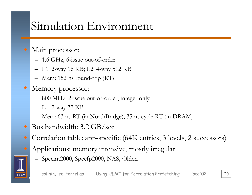## Simulation Environment

#### Main processor:

- 1.6 GHz, 6-issue out-of-order
- L1: 2-way 16 KB; L2: 4-way 512 KB
- Mem: 152 ns round-trip (RT)
- $\bullet$  Memory processor:
	- 800 MHz, 2-issue out-of-order, integer only
	- L1: 2-wa y 32 KB
	- Mem: 63 ns RT (in NorthBridge), 35 ns cycle RT (in DRAM)
- Bus bandwidth: 3.2 GB/sec
- Correlation table: app-specific (64K entries, 3 levels, 2 successors)
	- Applications: memory intensive, mostly irregular
		- Specint2000, Specfp2000, NAS, Olden Specint2000, Specfp2000, NAS,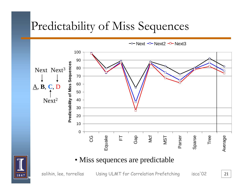## Predictability of Miss Sequences

100 90 **Predictability of Miss Sequences** 80 Next Next<sup>3</sup> 70 60  $\underline{A}, B, C, D$ 50  $Next<sup>2</sup>$ 40 30 20 10  $\mathbf 0$ Equake Sparse ပ္ပ Gap Tree 匸 Ncf Parser Average NST

 $\rightarrow$  Next  $\rightarrow$  Next2  $\rightarrow$  Next3

#### · Miss sequences are predictable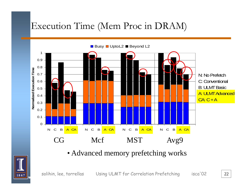### Execution Time (Mem Proc in DRAM)



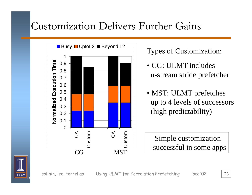### Customization Delivers Further Gains



#### **Types of Customization:**

- CG: ULMT includes n-stream stride prefetcher
- MST: ULMT prefetches up to 4 levels of successors (high predictability)

Simple customization successful in some apps

 $isca'02$ 



solihin, lee, torrellas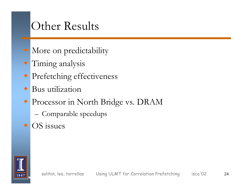## Other Results

- More on predictability
- *Timing analysis*
- Prefetching effectiveness
- $\bullet$  Bus utilization
- Processor in North Bridge vs. DRAM
	- Comparable speedups
- $\bullet$  OS issues

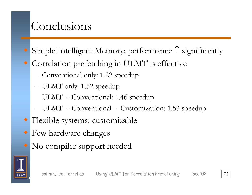## Conclusions

- Simple Intelligent Memory: performance ↑ significantly
- ♦ Correlation prefetching in ULMT is effective
	- Conventional only: 1.22 speedup
	- –— ULMT only: 1.32 speedup
	- –ULMT + Conventional: 1.46 speedup
	- – $-$  ULMT + Conventional + Customization: 1.53 speedup
- Flexible systems: customizable
- Few hardware changes
- No compiler support needed

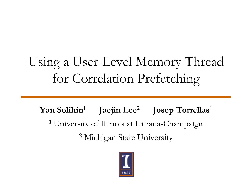# Using a User-Level Memory Thread for Correlation Prefetching

**Yan Solihin<sup>1</sup> Jaejin Lee<sup>2</sup> Josep Torrellas <sup>1</sup> Torrellas1 1** University of Illinois at Urbana-Champaign **2** Michigan State University

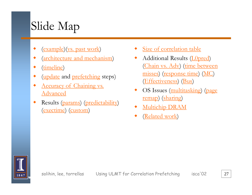# Slide Map

- $\begin{picture}(20,20) \put(0,0){\line(1,0){10}} \put(15,0){\line(1,0){10}} \put(15,0){\line(1,0){10}} \put(15,0){\line(1,0){10}} \put(15,0){\line(1,0){10}} \put(15,0){\line(1,0){10}} \put(15,0){\line(1,0){10}} \put(15,0){\line(1,0){10}} \put(15,0){\line(1,0){10}} \put(15,0){\line(1,0){10}} \put(15,0){\line(1,0){10}} \put(15,0){\line(1$ (example)(vs. past work)
- $\blacklozenge$ (architecture and mechanism)
- $\blacklozenge$ (timeline)
- $\blacklozenge$ (update and prefetching steps)
- $\blacklozenge$ • <u>Accuracy of Chaining vs.</u> Advanced
- ♦ Results (params) (predictability) exectime) (custom) and the multichip
- ♦ Size of correlation table
- $\blacklozenge$ Additional Results (L0pred) (Chain vs. Adv) (time between misses) (response time) (MC) (Effectiveness) (Bus)
- OS Issues (multitasking) (page remap) (sharing)
- ◆ Multichip DRAM
- ◆ (Related work)

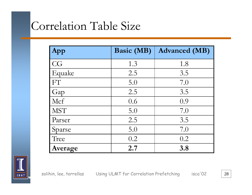## Correlation Table Size

| App        | <b>Basic (MB)</b> | <b>Advanced (MB)</b> |
|------------|-------------------|----------------------|
| CG         | 1.3               | 1.8                  |
| Equake     | 2.5               | 3.5                  |
| FT         | 5.0               | 7.0                  |
| Gap        | 2.5               | 3.5                  |
| Mcf        | 0.6               | 0.9                  |
| <b>MST</b> | 5.0               | 7.0                  |
| Parser     | 2.5               | 3.5                  |
| Sparse     | 5.0               | 7.0                  |
| Tree       | 0.2               | 0.2                  |
| Average    | 2.7               | 3.8                  |

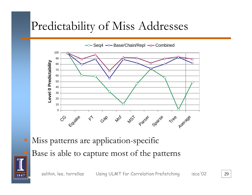## Predictability of Miss Addresses

 $\rightarrow$  Seq4  $\rightarrow$  Base/Chain/Repl  $\rightarrow$  Combined



 Miss patterns are application-specific Base is able to capture most of the patterns

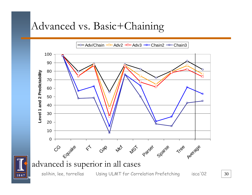### Advanced vs. Basic+Chaining

→ Adv/Chain -D Adv2 -D Adv3 - Chain2 - Chain3

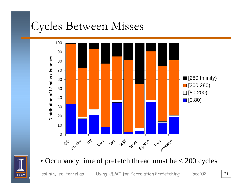## Cycles Between Misses



• Occupancy time of prefetch thread must be  $<$  200 cycles

solihin, lee, torrellas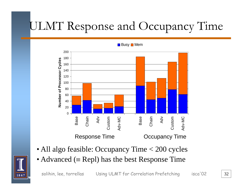# ULMT Response and Occupancy Time



**Busy Mem** 

- All algo feasible: Occupancy Time < 200 cycles
- Advanced ( $\equiv$  Repl) has the best Response Time

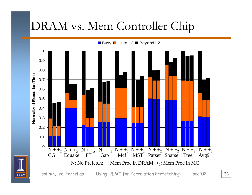## DRAM vs. Mem Controller Chip

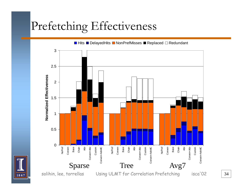## Prefetching Effectiveness

![](_page_33_Figure_1.jpeg)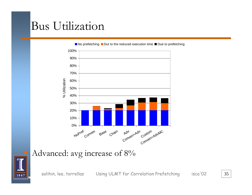## **Bus Utilization**

![](_page_34_Figure_1.jpeg)

■ No prefetching ■ Dut to the reduced execution time ■ Due to prefetching

Advanced: avg increase of 8%

![](_page_34_Picture_4.jpeg)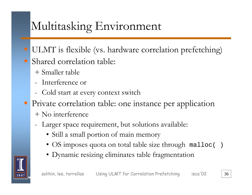## Multitasking Environment

- ULMT is flexible (vs. hardware correlation prefetching)
- Shared correlation table:
	- + Smaller table
	- Interference or
	- Cold start at every context switch
- Private correlation table: one instance per application  $+$  No interference
	- Larger space requirement, but solutions available:
		- Still a small portion of main memory
		- OS imposes quota on total table size through malloc()
		- · Dynamic resizing eliminates table fragmentation

![](_page_35_Picture_11.jpeg)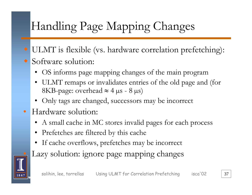# Handling Page Mapping Changes

- ULMT is flexible (vs. hardware correlation prefetching): ♦ • Software solution:
	- OS informs page mapping changes of the main program
	- •ULMT remaps or invalidates entries of the old page and (for 8KB-page: overhead ≈ 4 µs - 8 µs)
	- •Only tags are changed, successors may be incorrect
- Hardware solution:
	- A small cache in MC stores invalid pages for each process
	- •Prefetches are filtered by this cache
	- •If cache overflows, prefetches may be incorrect
	- Lazy solution: ignore page mapping changes

![](_page_36_Picture_10.jpeg)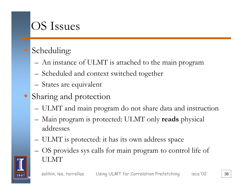## **OS Issues**

### Scheduling:

- An instance of ULMT is attached to the main program
- Scheduled and context switched together
- States are equivalent
- Sharing and protection
	- ULMT and main program do not share data and instruction
	- Main program is protected: ULMT only reads physical addresses
	- ULMT is protected: it has its own address space
	- OS provides sys calls for main program to control life of **ULMT**

![](_page_37_Picture_10.jpeg)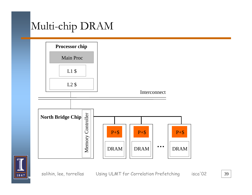### Multi-chip DRAM

![](_page_38_Figure_1.jpeg)

![](_page_38_Picture_2.jpeg)